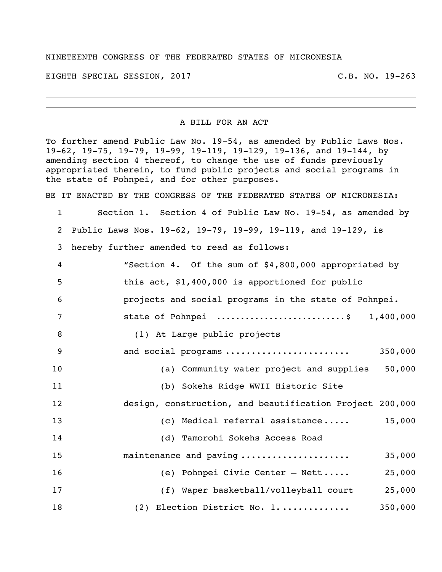## NINETEENTH CONGRESS OF THE FEDERATED STATES OF MICRONESIA

EIGHTH SPECIAL SESSION, 2017 C.B. NO. 19-263

## A BILL FOR AN ACT

To further amend Public Law No. 19-54, as amended by Public Laws Nos. 19-62, 19-75, 19-79, 19-99, 19-119, 19-129, 19-136, and 19-144, by amending section 4 thereof, to change the use of funds previously appropriated therein, to fund public projects and social programs in the state of Pohnpei, and for other purposes.

BE IT ENACTED BY THE CONGRESS OF THE FEDERATED STATES OF MICRONESIA:

 Section 1. Section 4 of Public Law No. 19-54, as amended by Public Laws Nos. 19-62, 19-79, 19-99, 19-119, and 19-129, is hereby further amended to read as follows: "Section 4. Of the sum of \$4,800,000 appropriated by this act, \$1,400,000 is apportioned for public projects and social programs in the state of Pohnpei. 7 5tate of Pohnpei ................................\$ 1,400,000 (1) At Large public projects and social programs ........................ 350,000 (a) Community water project and supplies 50,000 (b) Sokehs Ridge WWII Historic Site design, construction, and beautification Project 200,000 (c) Medical referral assistance ..... 15,000 (d) Tamorohi Sokehs Access Road maintenance and paving ..................... 35,000 (e) Pohnpei Civic Center – Nett ..... 25,000 (f) Waper basketball/volleyball court 25,000 (2) Election District No. 1. ............. 350,000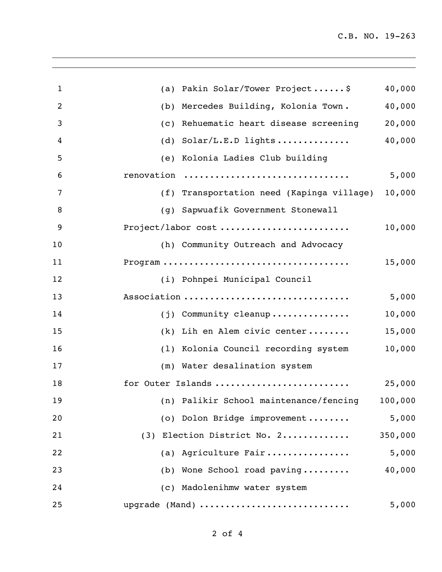| $\mathbf{1}$ | (a) Pakin Solar/Tower Project\$           | 40,000  |
|--------------|-------------------------------------------|---------|
| 2            | (b) Mercedes Building, Kolonia Town.      | 40,000  |
| 3            | (c) Rehuematic heart disease screening    | 20,000  |
| 4            | (d) $Solar/L.E.D$ lights                  | 40,000  |
| 5            | (e) Kolonia Ladies Club building          |         |
| 6            | renovation                                | 5,000   |
| 7            | (f) Transportation need (Kapinga village) | 10,000  |
| 8            | (g) Sapwuafik Government Stonewall        |         |
| 9            | Project/labor cost                        | 10,000  |
| 10           | (h) Community Outreach and Advocacy       |         |
| 11           |                                           | 15,000  |
| 12           | (i) Pohnpei Municipal Council             |         |
| 13           | Association                               | 5,000   |
| 14           | (j) Community cleanup                     | 10,000  |
| 15           | (k) Lih en Alem civic center              | 15,000  |
| 16           | (1) Kolonia Council recording system      | 10,000  |
| 17           | (m) Water desalination system             |         |
| 18           | for Outer Islands                         | 25,000  |
| 19           | (n) Palikir School maintenance/fencing    | 100,000 |
| 20           | (o) Dolon Bridge improvement              | 5,000   |
| 21           | (3) Election District No. 2               | 350,000 |
| 22           | Agriculture Fair<br>(a)                   | 5,000   |
| 23           | (b) Wone School road paving               | 40,000  |
| 24           | (c) Madolenihmw water system              |         |
| 25           | upgrade (Mand)                            | 5,000   |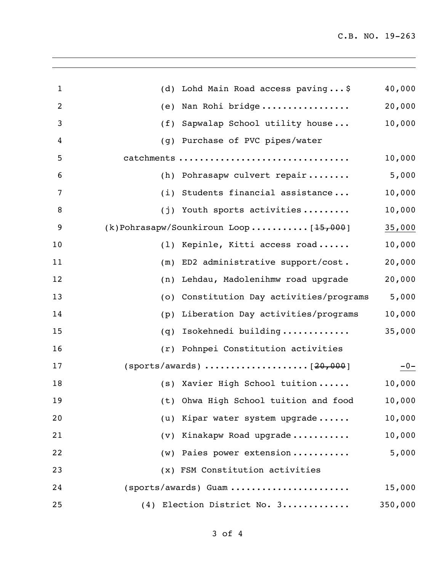| $\mathbf{1}$   | (d) Lohd Main Road access paving\$        | 40,000  |
|----------------|-------------------------------------------|---------|
| $\overline{2}$ | (e) Nan Rohi bridge                       | 20,000  |
| 3              | (f) Sapwalap School utility house         | 10,000  |
| 4              | (g) Purchase of PVC pipes/water           |         |
| 5              | catchments                                | 10,000  |
| 6              | (h) Pohrasapw culvert repair              | 5,000   |
| 7              | (i) Students financial assistance         | 10,000  |
| 8              | (j) Youth sports activities               | 10,000  |
| 9              | (k)Pohrasapw/Sounkiroun Loop $[15,000]$   | 35,000  |
| 10             | (1) Kepinle, Kitti access road            | 10,000  |
| 11             | (m) ED2 administrative support/cost.      | 20,000  |
| 12             | (n) Lehdau, Madolenihmw road upgrade      | 20,000  |
| 13             | (o) Constitution Day activities/programs  | 5,000   |
| 14             | Liberation Day activities/programs<br>(p) | 10,000  |
| 15             | Isokehnedi building<br>(q)                | 35,000  |
| 16             | (r) Pohnpei Constitution activities       |         |
| 17             |                                           | $-0-$   |
| 18             | (s) Xavier High School tuition            | 10,000  |
| 19             | (t) Ohwa High School tuition and food     | 10,000  |
| 20             | (u) Kipar water system upgrade            | 10,000  |
| 21             | (v) Kinakapw Road upgrade                 | 10,000  |
| 22             | (w) Paies power extension                 | 5,000   |
| 23             | (x) FSM Constitution activities           |         |
| 24             | (sports/awards) Guam                      | 15,000  |
| 25             | (4) Election District No. 3               | 350,000 |